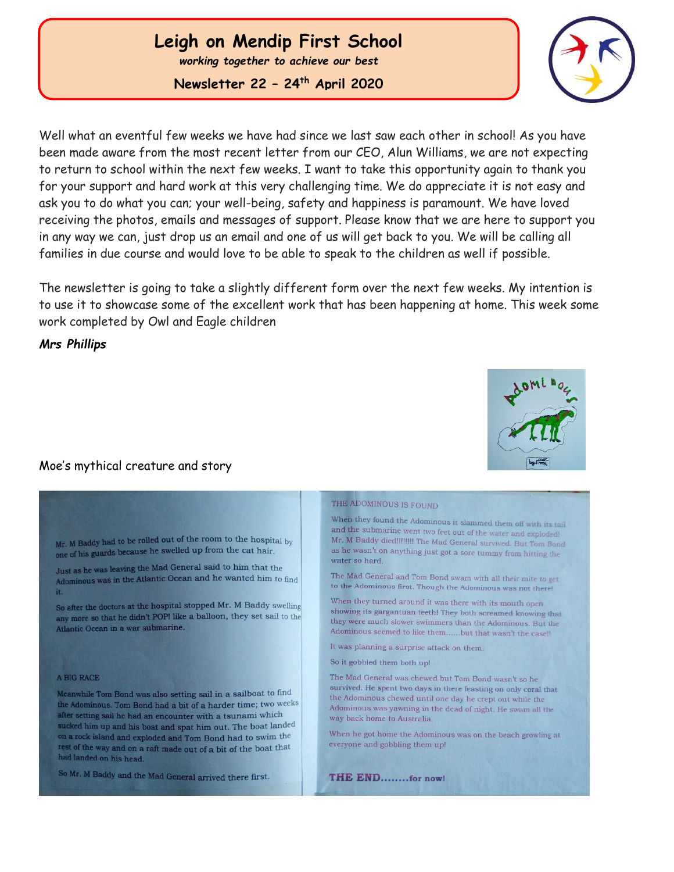### **Leigh on Mendip First School**

*working together to achieve our best*

**Newsletter 22 – 24th April 2020**



Well what an eventful few weeks we have had since we last saw each other in school! As you have been made aware from the most recent letter from our CEO, Alun Williams, we are not expecting to return to school within the next few weeks. I want to take this opportunity again to thank you for your support and hard work at this very challenging time. We do appreciate it is not easy and ask you to do what you can; your well-being, safety and happiness is paramount. We have loved receiving the photos, emails and messages of support. Please know that we are here to support you in any way we can, just drop us an email and one of us will get back to you. We will be calling all families in due course and would love to be able to speak to the children as well if possible.

The newsletter is going to take a slightly different form over the next few weeks. My intention is to use it to showcase some of the excellent work that has been happening at home. This week some work completed by Owl and Eagle children

*Mrs Phillips*

 Ĩ

### Moe's mythical creature and story

Mr. M Baddy had to be rolled out of the room to the hospital by one of his guards because he swelled up from the cat hair.

Just as he was leaving the Mad General said to him that the Adominous was in the Atlantic Ocean and he wanted him to find it.

So after the doctors at the hospital stopped Mr. M Baddy swelling any more so that he didn't POPI like a balloon, they set sail to the Atlantic Ocean in a war submarine.

#### A BIG RACE

Meanwhile Tom Bond was also setting sail in a sailboat to find the Adominous. Tom Bond had a bit of a harder time; two weeks after setting sail he had an encounter with a tsunami which sucked him up and his boat and spat him out. The boat landed on a rock island and exploded and Tom Bond had to swim the rest of the way and on a raft made out of a bit of the boat that had landed on his head.

So Mr. M Baddy and the Mad General arrived there first.

#### THE ADOMINOUS IS FOUND

When they found the Adominous it slammed them off with its tail and the submarine went two feet out of the water and exploded! Mr. M Baddy died!!!!!!!! The Mad General survived. But Tom Bond as he wasn't on anything just got a sore tummy from hitting the water so hard.

The Mad General and Tom Bond swam with all their mite to get to the Adominous first. Though the Adominous was not there!

When they turned around it was there with its mouth open showing its gargantuan teeth! They both screamed knowing that they were much slower swimmers than the Adominous. But the Adominous seemed to like them......but that wasn't the case!!

It was planning a surprise attack on them.

So it gobbled them both up!

The Mad General was chewed but Tom Bond wasn't so he survived. He spent two days in there feasting on only coral that the Adominous chewed until one day he crept out while the Adominous was yawning in the dead of night. He swam all the way back home to Australia.

When he got home the Adominous was on the beach growling at everyone and gobbling them up!

**THE END........for now!** 

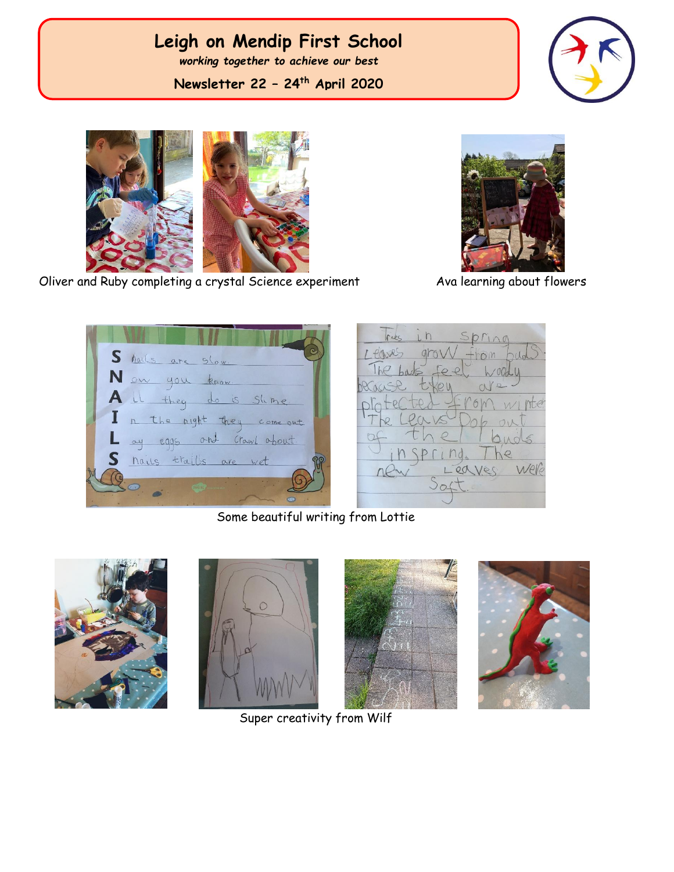# **Leigh on Mendip First School**

*working together to achieve our best*

**Newsletter 22 – 24th April 2020**





Oliver and Ruby completing a crystal Science experiment Ava learning about flowers



S halls are slow. Now you know It they do is slime. A l n the night they come out ay eggs and crawl about. hails trails are wet

 $h$ ara

Some beautiful writing from Lottie









Super creativity from Wilf